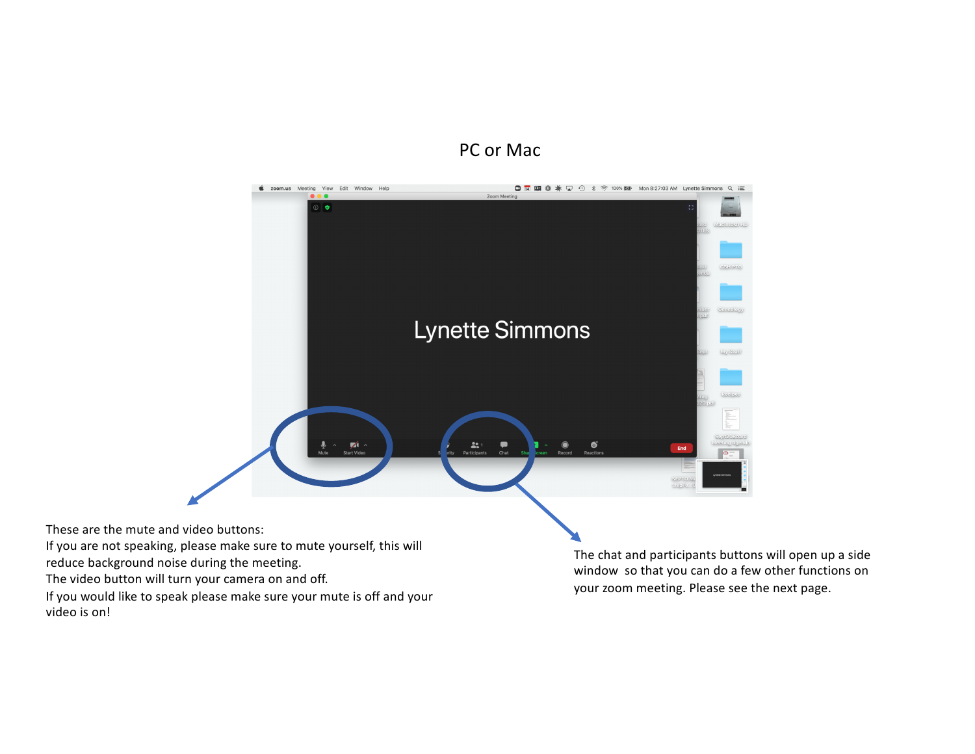



These are the mute and video buttons:

If you are not speaking, please make sure to mute yourself, this will

reduce background noise during the meeting.

The video button will turn your camera on and off.

If you would like to speak please make sure your mute is off and your video is on!

The chat and participants buttons will open up a side window so that you can do a few other functions on your zoom meeting. Please see the next page.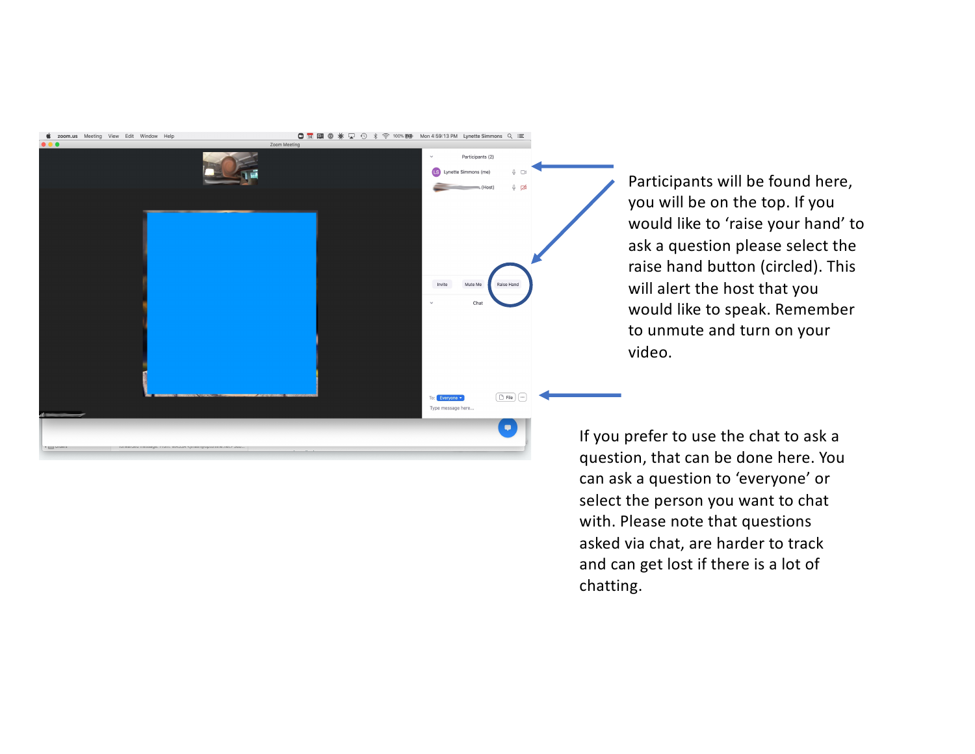

Participants will be found here, you will be on the top. If you would like to 'raise your hand' to ask a question please select the raise hand button (circled). This will alert the host that you would like to speak. Remember to unmute and turn on your video.

If you prefer to use the chat to ask a question, that can be done here. You can ask a question to 'everyone' or select the person you want to chat with. Please note that questions asked via chat, are harder to track and can get lost if there is a lot of chatting.